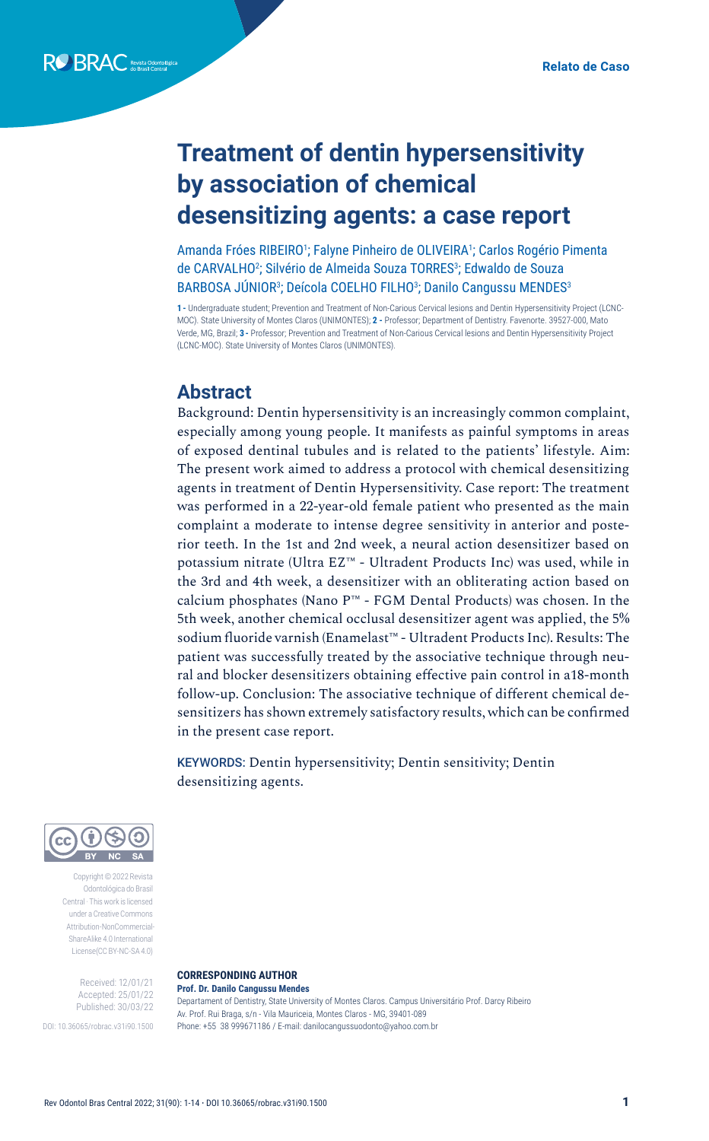# **Treatment of dentin hypersensitivity by association of chemical desensitizing agents: a case report**

Amanda Fróes RIBEIRO<sup>1</sup>; Falyne Pinheiro de OLIVEIRA<sup>1</sup>; Carlos Rogério Pimenta de CARVALHO<sup>2</sup>; Silvério de Almeida Souza TORRES<sup>3</sup>; Edwaldo de Souza BARBOSA JUNIOR<sup>3</sup>; Deícola COELHO FILHO<sup>3</sup>; Danilo Cangussu MENDES<sup>3</sup>

**1 -** Undergraduate student; Prevention and Treatment of Non-Carious Cervical lesions and Dentin Hypersensitivity Project (LCNC-MOC). State University of Montes Claros (UNIMONTES); **2 -** Professor; Department of Dentistry. Favenorte. 39527-000, Mato Verde, MG, Brazil; **3 -** Professor; Prevention and Treatment of Non-Carious Cervical lesions and Dentin Hypersensitivity Project (LCNC-MOC). State University of Montes Claros (UNIMONTES).

### **Abstract**

Background: Dentin hypersensitivity is an increasingly common complaint, especially among young people. It manifests as painful symptoms in areas of exposed dentinal tubules and is related to the patients' lifestyle. Aim: The present work aimed to address a protocol with chemical desensitizing agents in treatment of Dentin Hypersensitivity. Case report: The treatment was performed in a 22-year-old female patient who presented as the main complaint a moderate to intense degree sensitivity in anterior and posterior teeth. In the 1st and 2nd week, a neural action desensitizer based on potassium nitrate (Ultra EZ™ - Ultradent Products Inc) was used, while in the 3rd and 4th week, a desensitizer with an obliterating action based on calcium phosphates (Nano P™ - FGM Dental Products) was chosen. In the 5th week, another chemical occlusal desensitizer agent was applied, the 5% sodium fluoride varnish (Enamelast™ - Ultradent Products Inc). Results: The patient was successfully treated by the associative technique through neural and blocker desensitizers obtaining effective pain control in a18-month follow-up. Conclusion: The associative technique of different chemical desensitizers has shown extremely satisfactory results, which can be confirmed in the present case report.

KEYWORDS: Dentin hypersensitivity; Dentin sensitivity; Dentin desensitizing agents.



Copyright © 2022 Revista Odontológica do Brasil Central · This work is licensed under a Creative Commons Attribution-NonCommercial-ShareAlike 4.0 International License(CC BY-NC-SA 4.0)

> Received: 12/01/21 Accepted: 25/01/22 Published: 30/03/22

DOI: 10.36065/robrac.v31i90.1500

#### **CORRESPONDING AUTHOR Prof. Dr. Danilo Cangussu Mendes**

Departament of Dentistry, State University of Montes Claros. Campus Universitário Prof. Darcy Ribeiro Av. Prof. Rui Braga, s/n - Vila Mauriceia, Montes Claros - MG, 39401-089 Phone: +55 38 999671186 / E-mail: danilocangussuodonto@yahoo.com.br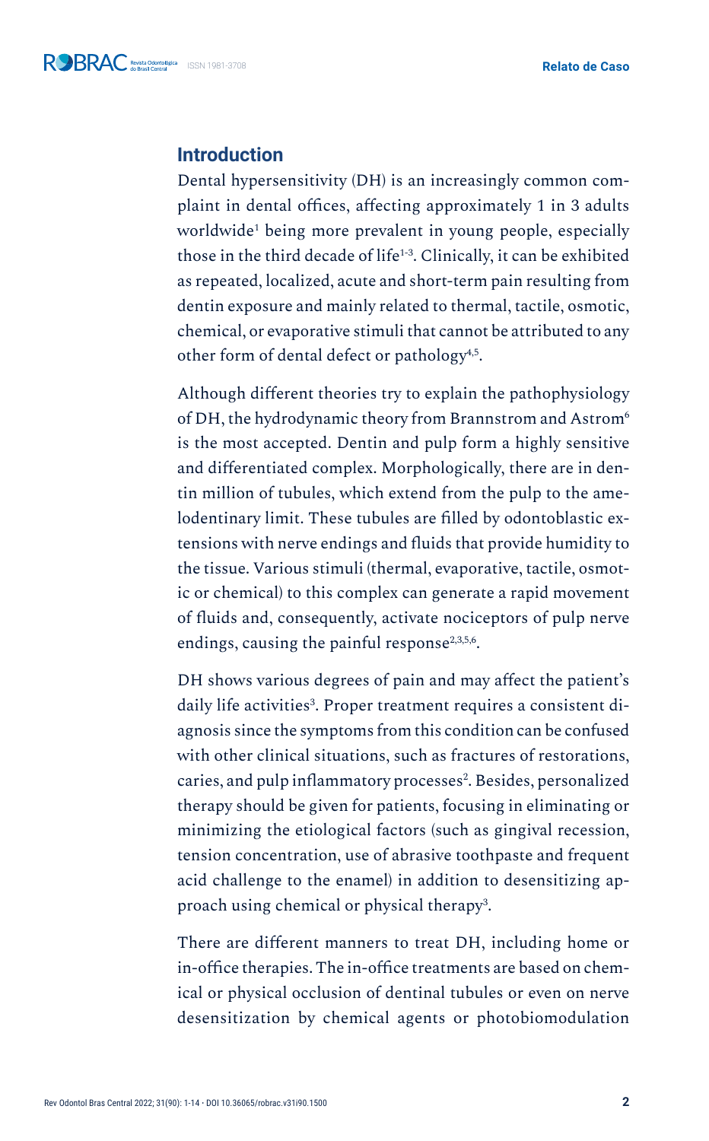### **Introduction**

Dental hypersensitivity (DH) is an increasingly common complaint in dental offices, affecting approximately 1 in 3 adults worldwide1 being more prevalent in young people, especially those in the third decade of life<sup>1-3</sup>. Clinically, it can be exhibited as repeated, localized, acute and short-term pain resulting from dentin exposure and mainly related to thermal, tactile, osmotic, chemical, or evaporative stimuli that cannot be attributed to any other form of dental defect or pathology<sup>4,5</sup>.

Although different theories try to explain the pathophysiology of DH, the hydrodynamic theory from Brannstrom and Astrom6 is the most accepted. Dentin and pulp form a highly sensitive and differentiated complex. Morphologically, there are in dentin million of tubules, which extend from the pulp to the amelodentinary limit. These tubules are filled by odontoblastic extensions with nerve endings and fluids that provide humidity to the tissue. Various stimuli (thermal, evaporative, tactile, osmotic or chemical) to this complex can generate a rapid movement of fluids and, consequently, activate nociceptors of pulp nerve endings, causing the painful response<sup>2,3,5,6</sup>.

DH shows various degrees of pain and may affect the patient's daily life activities<sup>3</sup>. Proper treatment requires a consistent diagnosis since the symptoms from this condition can be confused with other clinical situations, such as fractures of restorations, caries, and pulp inflammatory processes<sup>2</sup>. Besides, personalized therapy should be given for patients, focusing in eliminating or minimizing the etiological factors (such as gingival recession, tension concentration, use of abrasive toothpaste and frequent acid challenge to the enamel) in addition to desensitizing approach using chemical or physical therapy<sup>3</sup>.

There are different manners to treat DH, including home or in-office therapies. The in-office treatments are based on chemical or physical occlusion of dentinal tubules or even on nerve desensitization by chemical agents or photobiomodulation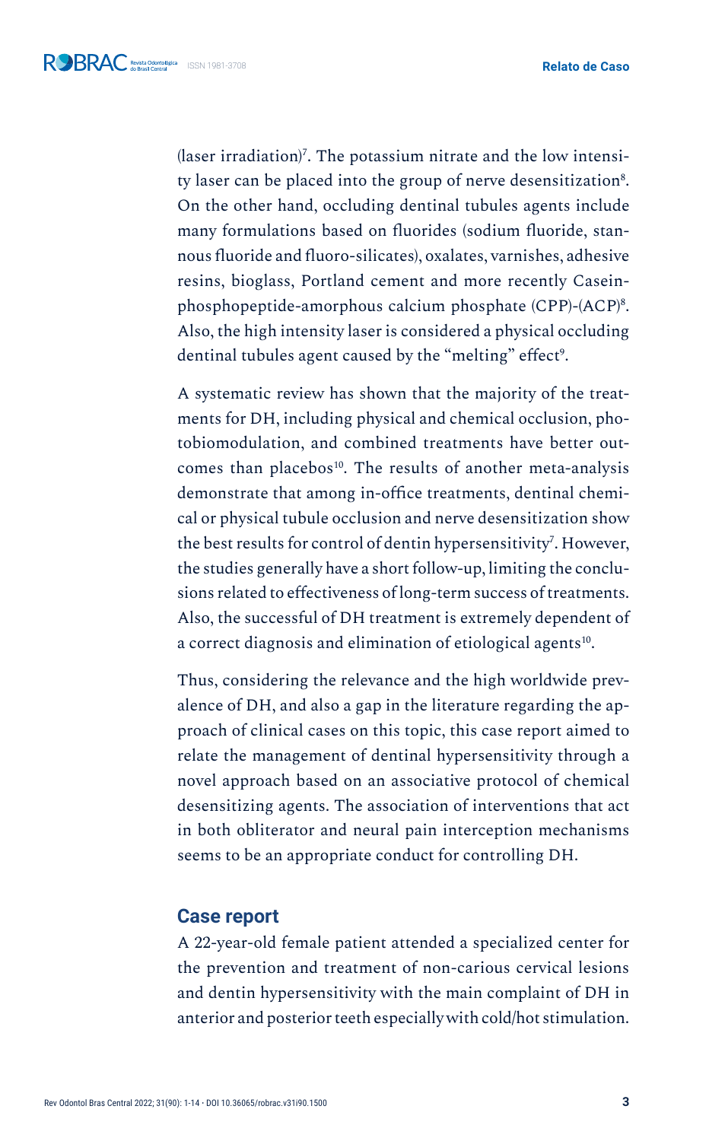${(\text{laser irradiation})}$ . The potassium nitrate and the low intensity laser can be placed into the group of nerve desensitization<sup>8</sup>. On the other hand, occluding dentinal tubules agents include many formulations based on fluorides (sodium fluoride, stannous fluoride and fluoro-silicates), oxalates, varnishes, adhesive resins, bioglass, Portland cement and more recently Caseinphosphopeptide-amorphous calcium phosphate (CPP)-(ACP)<sup>8</sup>. Also, the high intensity laser is considered a physical occluding dentinal tubules agent caused by the "melting" effect<sup>9</sup>.

A systematic review has shown that the majority of the treatments for DH, including physical and chemical occlusion, photobiomodulation, and combined treatments have better outcomes than placebos<sup>10</sup>. The results of another meta-analysis demonstrate that among in-office treatments, dentinal chemical or physical tubule occlusion and nerve desensitization show the best results for control of dentin hypersensitivity<sup>7</sup>. However, the studies generally have a short follow-up, limiting the conclusions related to effectiveness of long-term success of treatments. Also, the successful of DH treatment is extremely dependent of a correct diagnosis and elimination of etiological agents<sup>10</sup>.

Thus, considering the relevance and the high worldwide prevalence of DH, and also a gap in the literature regarding the approach of clinical cases on this topic, this case report aimed to relate the management of dentinal hypersensitivity through a novel approach based on an associative protocol of chemical desensitizing agents. The association of interventions that act in both obliterator and neural pain interception mechanisms seems to be an appropriate conduct for controlling DH.

### **Case report**

A 22-year-old female patient attended a specialized center for the prevention and treatment of non-carious cervical lesions and dentin hypersensitivity with the main complaint of DH in anterior and posterior teeth especially with cold/hot stimulation.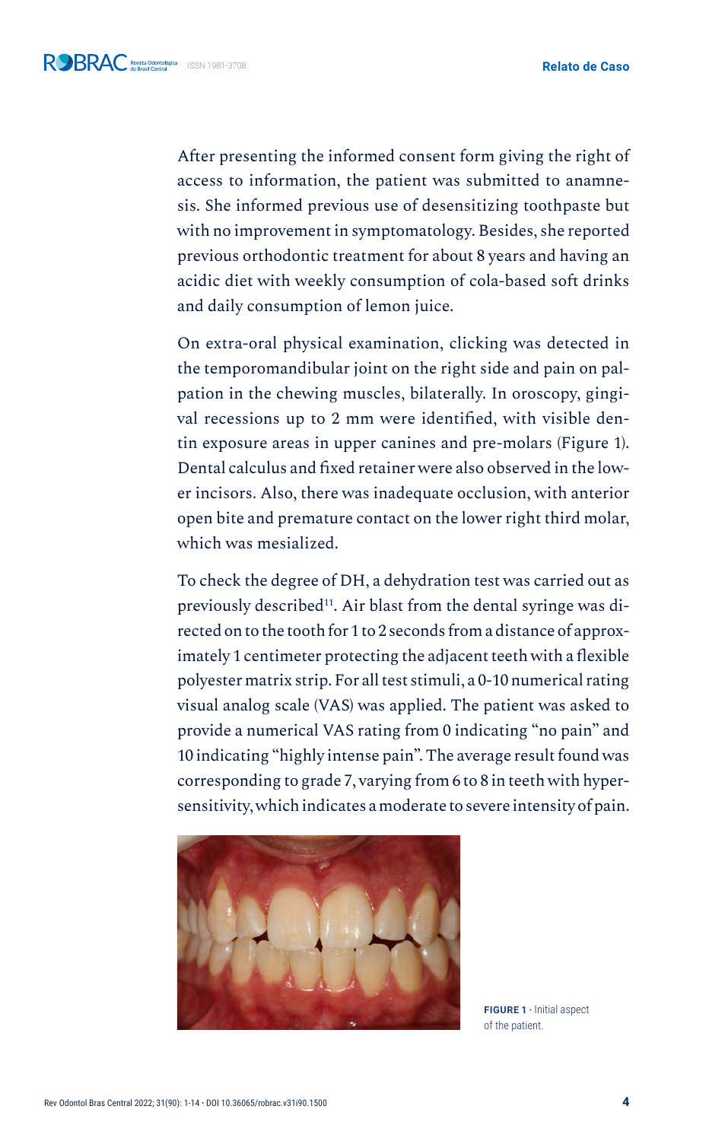After presenting the informed consent form giving the right of access to information, the patient was submitted to anamnesis. She informed previous use of desensitizing toothpaste but with no improvement in symptomatology. Besides, she reported previous orthodontic treatment for about 8 years and having an acidic diet with weekly consumption of cola-based soft drinks and daily consumption of lemon juice.

On extra-oral physical examination, clicking was detected in the temporomandibular joint on the right side and pain on palpation in the chewing muscles, bilaterally. In oroscopy, gingival recessions up to 2 mm were identified, with visible dentin exposure areas in upper canines and pre-molars (Figure 1). Dental calculus and fixed retainer were also observed in the lower incisors. Also, there was inadequate occlusion, with anterior open bite and premature contact on the lower right third molar, which was mesialized.

To check the degree of DH, a dehydration test was carried out as previously described<sup>11</sup>. Air blast from the dental syringe was directed on to the tooth for 1 to 2 seconds from a distance of approximately 1 centimeter protecting the adjacent teeth with a flexible polyester matrix strip. For all test stimuli, a 0-10 numerical rating visual analog scale (VAS) was applied. The patient was asked to provide a numerical VAS rating from 0 indicating "no pain" and 10 indicating "highly intense pain". The average result found was corresponding to grade 7, varying from 6 to 8 in teeth with hypersensitivity, which indicates a moderate to severe intensity of pain.



**FIGURE 1 ·** Initial aspect of the patient.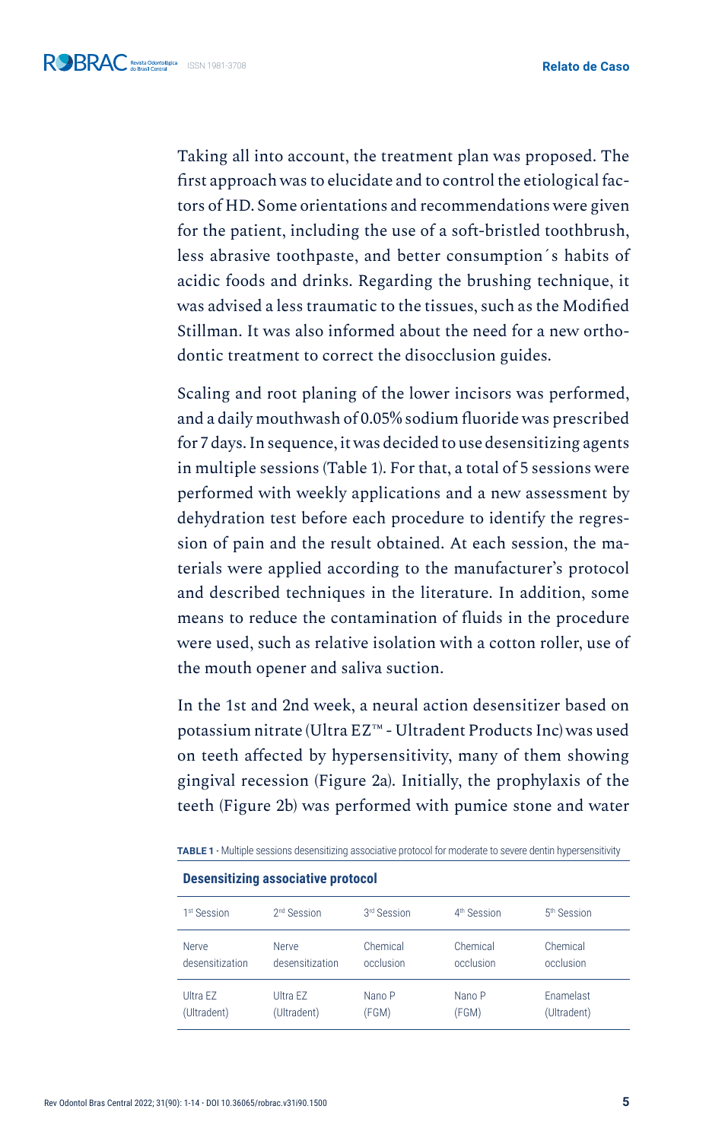Taking all into account, the treatment plan was proposed. The first approach was to elucidate and to control the etiological factors of HD. Some orientations and recommendations were given for the patient, including the use of a soft-bristled toothbrush, less abrasive toothpaste, and better consumption´s habits of acidic foods and drinks. Regarding the brushing technique, it was advised a less traumatic to the tissues, such as the Modified Stillman. It was also informed about the need for a new orthodontic treatment to correct the disocclusion guides.

Scaling and root planing of the lower incisors was performed, and a daily mouthwash of 0.05% sodium fluoride was prescribed for 7 days. In sequence, it was decided to use desensitizing agents in multiple sessions (Table 1). For that, a total of 5 sessions were performed with weekly applications and a new assessment by dehydration test before each procedure to identify the regression of pain and the result obtained. At each session, the materials were applied according to the manufacturer's protocol and described techniques in the literature. In addition, some means to reduce the contamination of fluids in the procedure were used, such as relative isolation with a cotton roller, use of the mouth opener and saliva suction.

In the 1st and 2nd week, a neural action desensitizer based on potassium nitrate (Ultra EZ™ - Ultradent Products Inc) was used on teeth affected by hypersensitivity, many of them showing gingival recession (Figure 2a). Initially, the prophylaxis of the teeth (Figure 2b) was performed with pumice stone and water

| <b>Desensitizing associative protocol</b> |                         |             |                         |                         |
|-------------------------------------------|-------------------------|-------------|-------------------------|-------------------------|
| 1 <sup>st</sup> Session                   | 2 <sup>nd</sup> Session | 3rd Session | 4 <sup>th</sup> Session | 5 <sup>th</sup> Session |
| Nerve                                     | Nerve                   | Chemical    | Chemical                | Chemical                |
| desensitization                           | desensitization         | occlusion   | occlusion               | occlusion               |
| Ultra EZ                                  | Ultra FZ                | Nano P      | Nano P                  | <b>Fnamelast</b>        |
| (Ultradent)                               | (Ultradent)             | (FGM)       | (FGM)                   | (Ultradent)             |

**TABLE 1 ·** Multiple sessions desensitizing associative protocol for moderate to severe dentin hypersensitivity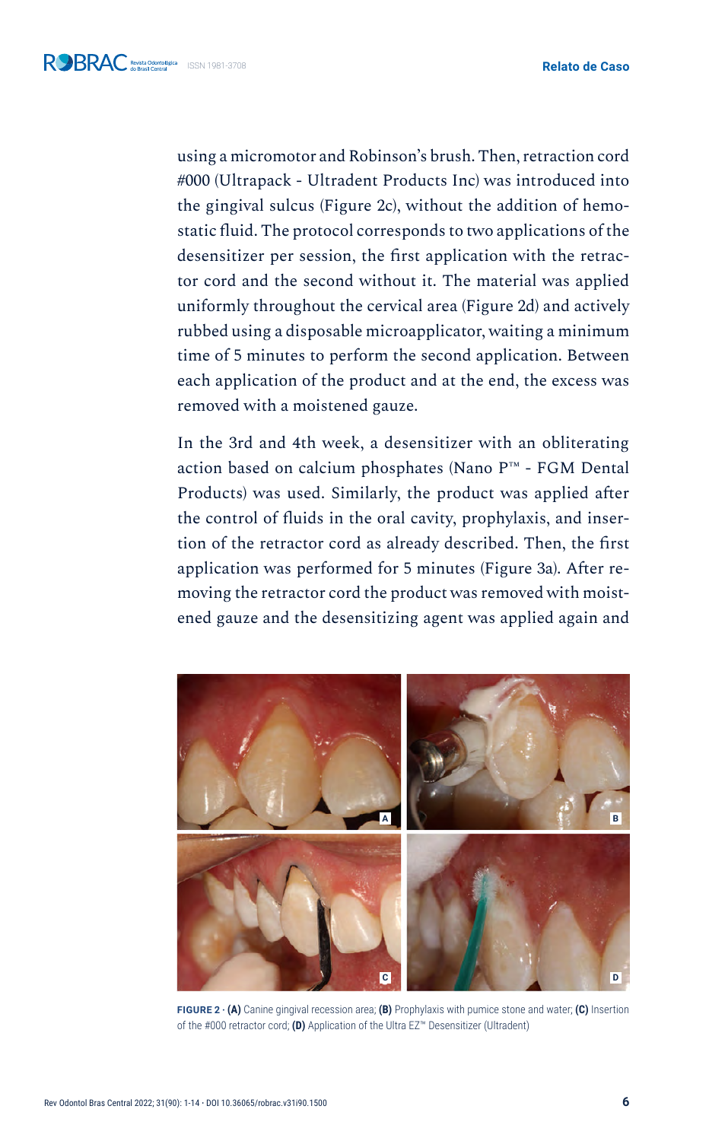using a micromotor and Robinson's brush. Then, retraction cord #000 (Ultrapack - Ultradent Products Inc) was introduced into the gingival sulcus (Figure 2c), without the addition of hemostatic fluid. The protocol corresponds to two applications of the desensitizer per session, the first application with the retractor cord and the second without it. The material was applied uniformly throughout the cervical area (Figure 2d) and actively rubbed using a disposable microapplicator, waiting a minimum time of 5 minutes to perform the second application. Between each application of the product and at the end, the excess was removed with a moistened gauze.

In the 3rd and 4th week, a desensitizer with an obliterating action based on calcium phosphates (Nano P™ - FGM Dental Products) was used. Similarly, the product was applied after the control of fluids in the oral cavity, prophylaxis, and insertion of the retractor cord as already described. Then, the first application was performed for 5 minutes (Figure 3a). After removing the retractor cord the product was removed with moistened gauze and the desensitizing agent was applied again and



**FIGURE 2 · (A)** Canine gingival recession area; **(B)** Prophylaxis with pumice stone and water; **(C)** Insertion of the #000 retractor cord; **(D)** Application of the Ultra EZ™ Desensitizer (Ultradent)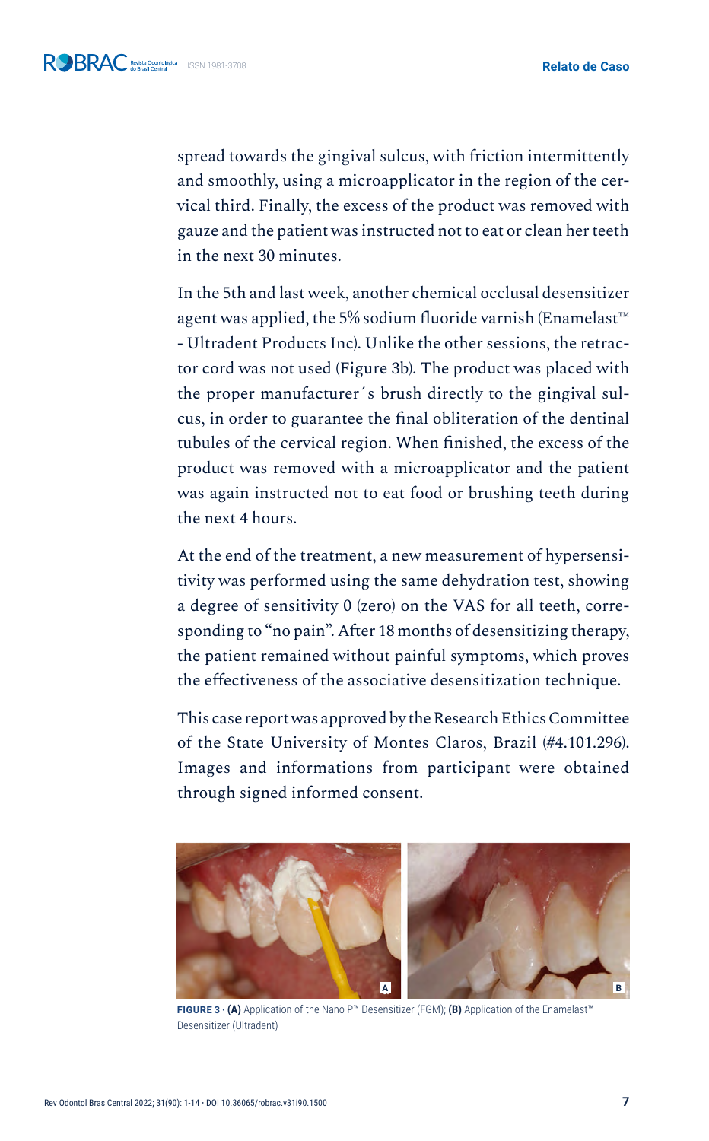spread towards the gingival sulcus, with friction intermittently and smoothly, using a microapplicator in the region of the cervical third. Finally, the excess of the product was removed with gauze and the patient was instructed not to eat or clean her teeth in the next 30 minutes.

In the 5th and last week, another chemical occlusal desensitizer agent was applied, the 5% sodium fluoride varnish (Enamelast™ - Ultradent Products Inc). Unlike the other sessions, the retractor cord was not used (Figure 3b). The product was placed with the proper manufacturer´s brush directly to the gingival sulcus, in order to guarantee the final obliteration of the dentinal tubules of the cervical region. When finished, the excess of the product was removed with a microapplicator and the patient was again instructed not to eat food or brushing teeth during the next 4 hours.

At the end of the treatment, a new measurement of hypersensitivity was performed using the same dehydration test, showing a degree of sensitivity 0 (zero) on the VAS for all teeth, corresponding to "no pain". After 18 months of desensitizing therapy, the patient remained without painful symptoms, which proves the effectiveness of the associative desensitization technique.

This case report was approved by the Research Ethics Committee of the State University of Montes Claros, Brazil (#4.101.296). Images and informations from participant were obtained through signed informed consent.



**FIGURE 3 · (A)** Application of the Nano P™ Desensitizer (FGM); **(B)** Application of the Enamelast™ Desensitizer (Ultradent)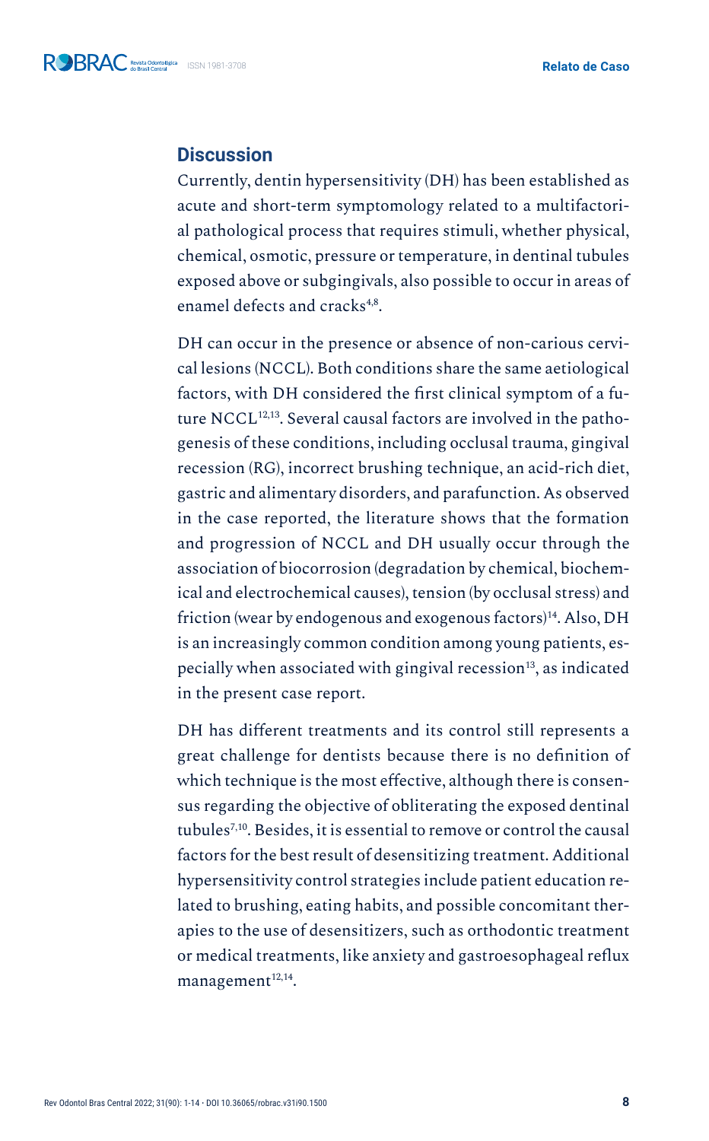## **Discussion**

Currently, dentin hypersensitivity (DH) has been established as acute and short-term symptomology related to a multifactorial pathological process that requires stimuli, whether physical, chemical, osmotic, pressure or temperature, in dentinal tubules exposed above or subgingivals, also possible to occur in areas of enamel defects and cracks4,8.

DH can occur in the presence or absence of non-carious cervical lesions (NCCL). Both conditions share the same aetiological factors, with DH considered the first clinical symptom of a future NCCL<sup>12,13</sup>. Several causal factors are involved in the pathogenesis of these conditions, including occlusal trauma, gingival recession (RG), incorrect brushing technique, an acid-rich diet, gastric and alimentary disorders, and parafunction. As observed in the case reported, the literature shows that the formation and progression of NCCL and DH usually occur through the association of biocorrosion (degradation by chemical, biochemical and electrochemical causes), tension (by occlusal stress) and friction (wear by endogenous and exogenous factors)<sup>14</sup>. Also, DH is an increasingly common condition among young patients, especially when associated with gingival recession $^{13}$ , as indicated in the present case report.

DH has different treatments and its control still represents a great challenge for dentists because there is no definition of which technique is the most effective, although there is consensus regarding the objective of obliterating the exposed dentinal tubules7,10. Besides, it is essential to remove or control the causal factors for the best result of desensitizing treatment. Additional hypersensitivity control strategies include patient education related to brushing, eating habits, and possible concomitant therapies to the use of desensitizers, such as orthodontic treatment or medical treatments, like anxiety and gastroesophageal reflux management $12,14$ .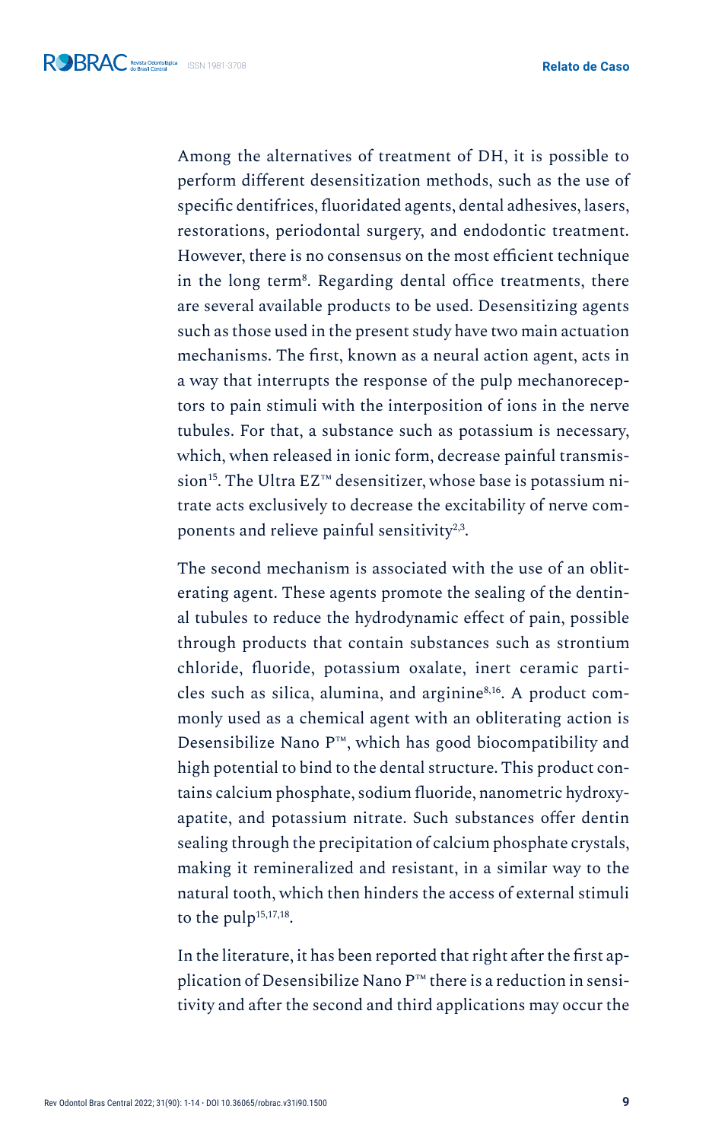Among the alternatives of treatment of DH, it is possible to perform different desensitization methods, such as the use of specific dentifrices, fluoridated agents, dental adhesives, lasers, restorations, periodontal surgery, and endodontic treatment. However, there is no consensus on the most efficient technique in the long term<sup>8</sup> . Regarding dental office treatments, there are several available products to be used. Desensitizing agents such as those used in the present study have two main actuation mechanisms. The first, known as a neural action agent, acts in a way that interrupts the response of the pulp mechanoreceptors to pain stimuli with the interposition of ions in the nerve tubules. For that, a substance such as potassium is necessary, which, when released in ionic form, decrease painful transmission15. The Ultra EZ™ desensitizer, whose base is potassium nitrate acts exclusively to decrease the excitability of nerve components and relieve painful sensitivity<sup>2,3</sup>.

The second mechanism is associated with the use of an obliterating agent. These agents promote the sealing of the dentinal tubules to reduce the hydrodynamic effect of pain, possible through products that contain substances such as strontium chloride, fluoride, potassium oxalate, inert ceramic particles such as silica, alumina, and arginine8,16. A product commonly used as a chemical agent with an obliterating action is Desensibilize Nano P™, which has good biocompatibility and high potential to bind to the dental structure. This product contains calcium phosphate, sodium fluoride, nanometric hydroxyapatite, and potassium nitrate. Such substances offer dentin sealing through the precipitation of calcium phosphate crystals, making it remineralized and resistant, in a similar way to the natural tooth, which then hinders the access of external stimuli to the pulp<sup>15,17,18</sup>.

In the literature, it has been reported that right after the first application of Desensibilize Nano P™ there is a reduction in sensitivity and after the second and third applications may occur the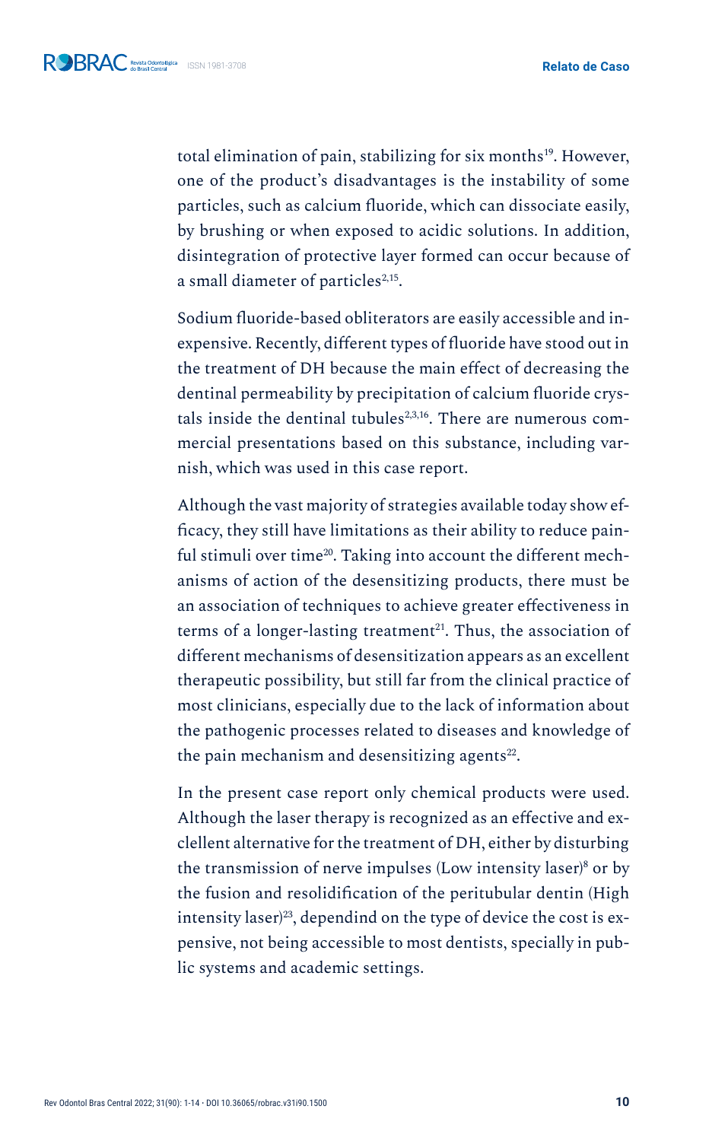total elimination of pain, stabilizing for six months<sup>19</sup>. However, one of the product's disadvantages is the instability of some particles, such as calcium fluoride, which can dissociate easily, by brushing or when exposed to acidic solutions. In addition, disintegration of protective layer formed can occur because of a small diameter of particles<sup>2,15</sup>.

Sodium fluoride-based obliterators are easily accessible and inexpensive. Recently, different types of fluoride have stood out in the treatment of DH because the main effect of decreasing the dentinal permeability by precipitation of calcium fluoride crystals inside the dentinal tubules $2,3,16$ . There are numerous commercial presentations based on this substance, including varnish, which was used in this case report.

Although the vast majority of strategies available today show efficacy, they still have limitations as their ability to reduce painful stimuli over time<sup>20</sup>. Taking into account the different mechanisms of action of the desensitizing products, there must be an association of techniques to achieve greater effectiveness in terms of a longer-lasting treatment<sup>21</sup>. Thus, the association of different mechanisms of desensitization appears as an excellent therapeutic possibility, but still far from the clinical practice of most clinicians, especially due to the lack of information about the pathogenic processes related to diseases and knowledge of the pain mechanism and desensitizing agents $^{22}$ .

In the present case report only chemical products were used. Although the laser therapy is recognized as an effective and exclellent alternative for the treatment of DH, either by disturbing the transmission of nerve impulses (Low intensity laser)<sup>8</sup> or by the fusion and resolidification of the peritubular dentin (High intensity laser)<sup>23</sup>, dependind on the type of device the cost is expensive, not being accessible to most dentists, specially in public systems and academic settings.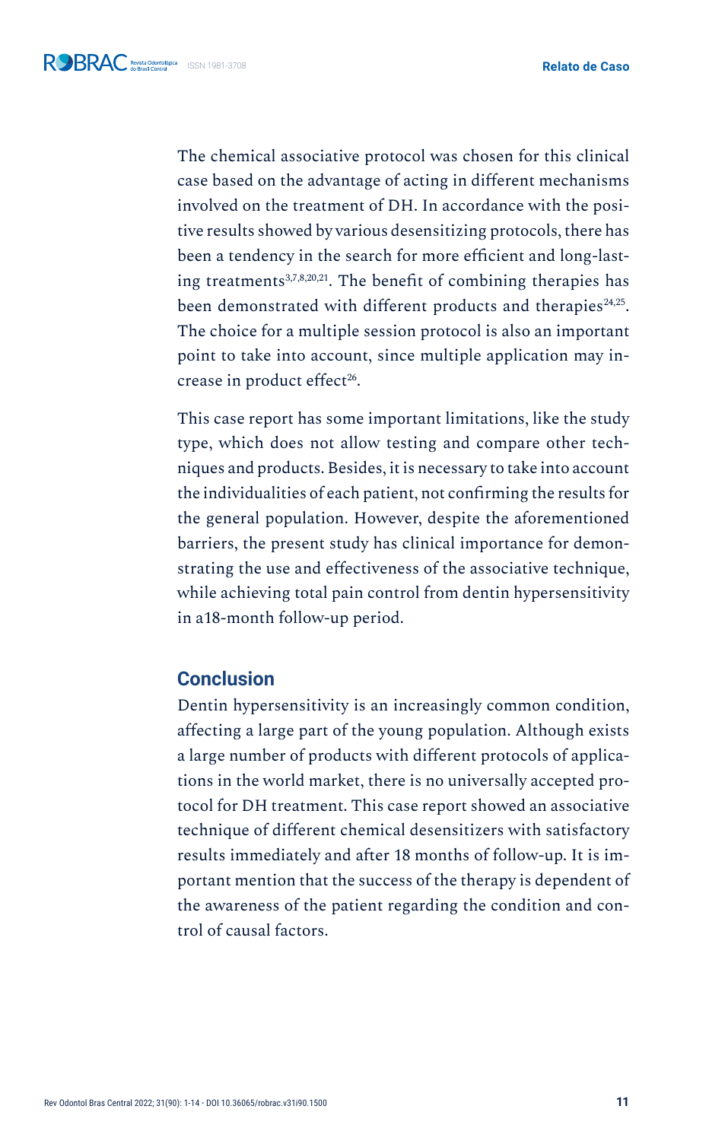The chemical associative protocol was chosen for this clinical case based on the advantage of acting in different mechanisms involved on the treatment of DH. In accordance with the positive results showed by various desensitizing protocols, there has been a tendency in the search for more efficient and long-lasting treatments<sup>3,7,8,20,21</sup>. The benefit of combining therapies has been demonstrated with different products and therapies<sup>24,25</sup>. The choice for a multiple session protocol is also an important point to take into account, since multiple application may increase in product effect<sup>26</sup>.

This case report has some important limitations, like the study type, which does not allow testing and compare other techniques and products. Besides, it is necessary to take into account the individualities of each patient, not confirming the results for the general population. However, despite the aforementioned barriers, the present study has clinical importance for demonstrating the use and effectiveness of the associative technique, while achieving total pain control from dentin hypersensitivity in a18-month follow-up period.

### **Conclusion**

Dentin hypersensitivity is an increasingly common condition, affecting a large part of the young population. Although exists a large number of products with different protocols of applications in the world market, there is no universally accepted protocol for DH treatment. This case report showed an associative technique of different chemical desensitizers with satisfactory results immediately and after 18 months of follow-up. It is important mention that the success of the therapy is dependent of the awareness of the patient regarding the condition and control of causal factors.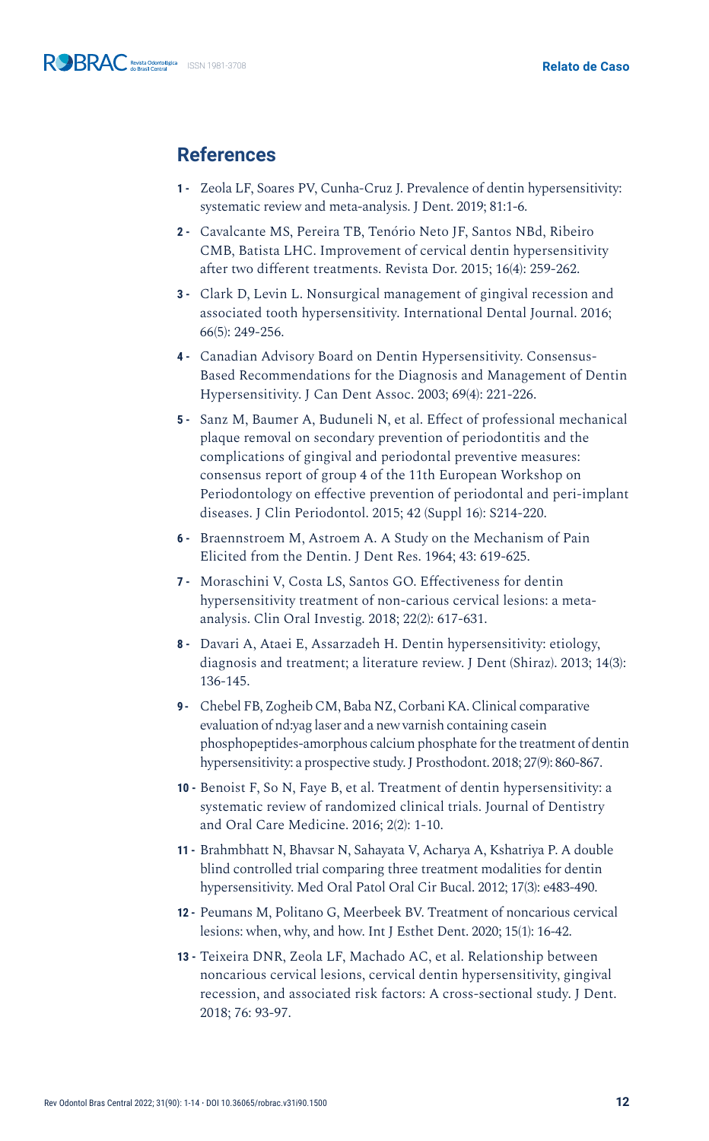## **References**

- **1 -** Zeola LF, Soares PV, Cunha-Cruz J. Prevalence of dentin hypersensitivity: systematic review and meta-analysis. J Dent. 2019; 81:1-6.
- **2 -** Cavalcante MS, Pereira TB, Tenório Neto JF, Santos NBd, Ribeiro CMB, Batista LHC. Improvement of cervical dentin hypersensitivity after two different treatments. Revista Dor. 2015; 16(4): 259-262.
- **3 -** Clark D, Levin L. Nonsurgical management of gingival recession and associated tooth hypersensitivity. International Dental Journal. 2016; 66(5): 249-256.
- **4 -** Canadian Advisory Board on Dentin Hypersensitivity. Consensus-Based Recommendations for the Diagnosis and Management of Dentin Hypersensitivity. J Can Dent Assoc. 2003; 69(4): 221-226.
- **5 -** Sanz M, Baumer A, Buduneli N, et al. Effect of professional mechanical plaque removal on secondary prevention of periodontitis and the complications of gingival and periodontal preventive measures: consensus report of group 4 of the 11th European Workshop on Periodontology on effective prevention of periodontal and peri-implant diseases. J Clin Periodontol. 2015; 42 (Suppl 16): S214-220.
- **6 -** Braennstroem M, Astroem A. A Study on the Mechanism of Pain Elicited from the Dentin. J Dent Res. 1964; 43: 619-625.
- **7 -** Moraschini V, Costa LS, Santos GO. Effectiveness for dentin hypersensitivity treatment of non-carious cervical lesions: a metaanalysis. Clin Oral Investig. 2018; 22(2): 617-631.
- **8 -** Davari A, Ataei E, Assarzadeh H. Dentin hypersensitivity: etiology, diagnosis and treatment; a literature review. J Dent (Shiraz). 2013; 14(3): 136-145.
- **9 -** Chebel FB, Zogheib CM, Baba NZ, Corbani KA. Clinical comparative evaluation of nd:yag laser and a new varnish containing casein phosphopeptides-amorphous calcium phosphate for the treatment of dentin hypersensitivity: a prospective study. J Prosthodont. 2018; 27(9): 860-867.
- **10 -** Benoist F, So N, Faye B, et al. Treatment of dentin hypersensitivity: a systematic review of randomized clinical trials. Journal of Dentistry and Oral Care Medicine. 2016; 2(2): 1-10.
- **11 -** Brahmbhatt N, Bhavsar N, Sahayata V, Acharya A, Kshatriya P. A double blind controlled trial comparing three treatment modalities for dentin hypersensitivity. Med Oral Patol Oral Cir Bucal. 2012; 17(3): e483-490.
- **12 -** Peumans M, Politano G, Meerbeek BV. Treatment of noncarious cervical lesions: when, why, and how. Int J Esthet Dent. 2020; 15(1): 16-42.
- **13 -** Teixeira DNR, Zeola LF, Machado AC, et al. Relationship between noncarious cervical lesions, cervical dentin hypersensitivity, gingival recession, and associated risk factors: A cross-sectional study. J Dent. 2018; 76: 93-97.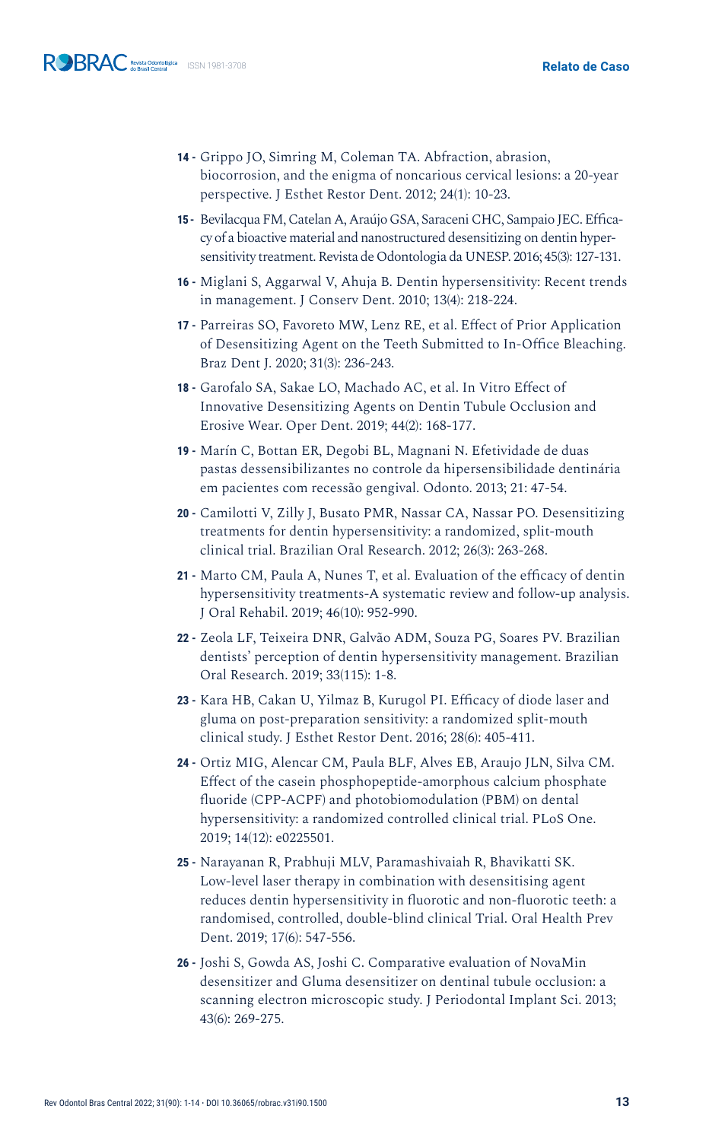- **14 -** Grippo JO, Simring M, Coleman TA. Abfraction, abrasion, biocorrosion, and the enigma of noncarious cervical lesions: a 20-year perspective. J Esthet Restor Dent. 2012; 24(1): 10-23.
- **15 -** Bevilacqua FM, Catelan A, Araújo GSA, Saraceni CHC, Sampaio JEC. Efficacy of a bioactive material and nanostructured desensitizing on dentin hypersensitivity treatment. Revista de Odontologia da UNESP. 2016; 45(3): 127-131.
- **16 -** Miglani S, Aggarwal V, Ahuja B. Dentin hypersensitivity: Recent trends in management. J Conserv Dent. 2010; 13(4): 218-224.
- **17 -** Parreiras SO, Favoreto MW, Lenz RE, et al. Effect of Prior Application of Desensitizing Agent on the Teeth Submitted to In-Office Bleaching. Braz Dent J. 2020; 31(3): 236-243.
- **18 -** Garofalo SA, Sakae LO, Machado AC, et al. In Vitro Effect of Innovative Desensitizing Agents on Dentin Tubule Occlusion and Erosive Wear. Oper Dent. 2019; 44(2): 168-177.
- **19 -** Marín C, Bottan ER, Degobi BL, Magnani N. Efetividade de duas pastas dessensibilizantes no controle da hipersensibilidade dentinária em pacientes com recessão gengival. Odonto. 2013; 21: 47-54.
- **20 -** Camilotti V, Zilly J, Busato PMR, Nassar CA, Nassar PO. Desensitizing treatments for dentin hypersensitivity: a randomized, split-mouth clinical trial. Brazilian Oral Research. 2012; 26(3): 263-268.
- **21 -** Marto CM, Paula A, Nunes T, et al. Evaluation of the efficacy of dentin hypersensitivity treatments-A systematic review and follow-up analysis. J Oral Rehabil. 2019; 46(10): 952-990.
- **22 -** Zeola LF, Teixeira DNR, Galvão ADM, Souza PG, Soares PV. Brazilian dentists' perception of dentin hypersensitivity management. Brazilian Oral Research. 2019; 33(115): 1-8.
- **23 -** Kara HB, Cakan U, Yilmaz B, Kurugol PI. Efficacy of diode laser and gluma on post-preparation sensitivity: a randomized split-mouth clinical study. J Esthet Restor Dent. 2016; 28(6): 405-411.
- **24 -** Ortiz MIG, Alencar CM, Paula BLF, Alves EB, Araujo JLN, Silva CM. Effect of the casein phosphopeptide-amorphous calcium phosphate fluoride (CPP-ACPF) and photobiomodulation (PBM) on dental hypersensitivity: a randomized controlled clinical trial. PLoS One. 2019; 14(12): e0225501.
- **25 -** Narayanan R, Prabhuji MLV, Paramashivaiah R, Bhavikatti SK. Low-level laser therapy in combination with desensitising agent reduces dentin hypersensitivity in fluorotic and non-fluorotic teeth: a randomised, controlled, double-blind clinical Trial. Oral Health Prev Dent. 2019; 17(6): 547-556.
- **26 -** Joshi S, Gowda AS, Joshi C. Comparative evaluation of NovaMin desensitizer and Gluma desensitizer on dentinal tubule occlusion: a scanning electron microscopic study. J Periodontal Implant Sci. 2013; 43(6): 269-275.